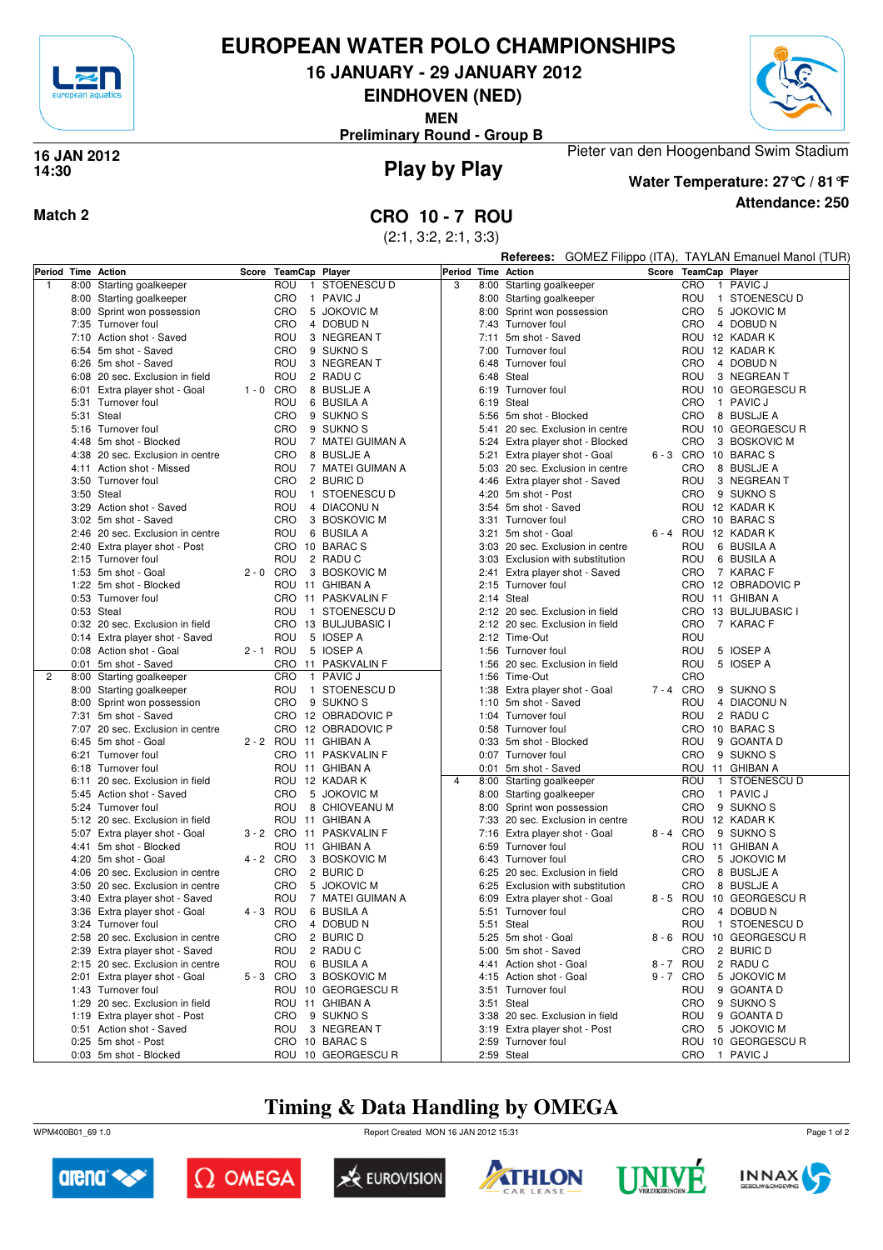

# **EUROPEAN WATER POLO CHAMPIONSHIPS**

**16 JANUARY - 29 JANUARY 2012**

**EINDHOVEN (NED)**

**MEN**

**Preliminary Round - Group B**



## **Play by Play 16 JAN 2012 14:30**



**Attendance: 250 Water Temperature: 27°C / 81°F**

Pieter van den Hoogenband Swim Stadium

## **Match 2 CRO 10 - 7 ROU**

(2:1, 3:2, 2:1, 3:3)

|   |      |                                                         |             |                   |                                             |                    |      |                                                     |  |         |                | Referees: GOMEZ Filippo (ITA), TAYLAN Emanuel Manol (TUR) |
|---|------|---------------------------------------------------------|-------------|-------------------|---------------------------------------------|--------------------|------|-----------------------------------------------------|--|---------|----------------|-----------------------------------------------------------|
|   |      | Period Time Action                                      | Score       | TeamCap Player    |                                             | Period Time Action |      |                                                     |  |         |                | Score TeamCap Player                                      |
| 1 |      | 8:00 Starting goalkeeper                                |             | ROU               | 1 STOENESCU D                               | 3                  |      | 8:00 Starting goalkeeper                            |  | CRO     |                | 1 PAVIC J                                                 |
|   |      | 8:00 Starting goalkeeper                                |             | CRO               | 1 PAVIC J                                   |                    |      | 8:00 Starting goalkeeper                            |  | ROU     |                | 1 STOENESCU D                                             |
|   |      | 8:00 Sprint won possession                              |             | CRO               | 5 JOKOVIC M                                 |                    |      | 8:00 Sprint won possession                          |  | CRO     |                | 5 JOKOVIC M                                               |
|   |      | 7:35 Turnover foul                                      |             | CRO               | 4 DOBUD N                                   |                    |      | 7:43 Turnover foul                                  |  | CRO     |                | 4 DOBUD N                                                 |
|   |      | 7:10 Action shot - Saved                                |             | ROU               | 3 NEGREAN T                                 |                    | 7:11 | 5m shot - Saved                                     |  |         |                | ROU 12 KADAR K                                            |
|   |      | 6:54 5m shot - Saved                                    |             | CRO               | 9 SUKNO <sub>S</sub>                        |                    |      | 7:00 Turnover foul                                  |  |         |                | ROU 12 KADAR K                                            |
|   |      | 6:26 5m shot - Saved                                    |             | ROU               | 3 NEGREAN T                                 |                    |      | 6:48 Turnover foul                                  |  | CRO     |                | 4 DOBUD N                                                 |
|   |      | 6:08 20 sec. Exclusion in field                         |             | ROU               | 2 RADUC                                     |                    |      | 6:48 Steal                                          |  | ROU     |                | 3 NEGREAN T                                               |
|   |      | 6:01 Extra player shot - Goal                           | $1 - 0$ CRO |                   | 8 BUSLJE A                                  |                    |      | 6:19 Turnover foul                                  |  |         |                | ROU 10 GEORGESCUR                                         |
|   |      | 5:31 Turnover foul                                      |             | ROU               | 6 BUSILA A                                  |                    |      | 6:19 Steal                                          |  | CRO     |                | 1 PAVIC J                                                 |
|   |      | 5:31 Steal                                              |             | <b>CRO</b>        | 9 SUKNO <sub>S</sub>                        |                    |      | 5:56 5m shot - Blocked                              |  | CRO     |                | 8 BUSLJE A                                                |
|   |      | 5:16 Turnover foul                                      |             | <b>CRO</b>        | 9 SUKNO <sub>S</sub>                        |                    |      | 5:41 20 sec. Exclusion in centre                    |  |         |                | ROU 10 GEORGESCUR                                         |
|   |      | 4:48 5m shot - Blocked                                  |             | ROU               | 7 MATEI GUIMAN A                            |                    |      | 5:24 Extra player shot - Blocked                    |  | CRO     |                | 3 BOSKOVIC M                                              |
|   |      | 4:38 20 sec. Exclusion in centre                        |             | CRO               | 8 BUSLJE A                                  |                    | 5:21 | Extra player shot - Goal                            |  |         |                | 6-3 CRO 10 BARACS                                         |
|   |      | 4:11 Action shot - Missed                               |             | ROU<br><b>CRO</b> | 7 MATEI GUIMAN A                            |                    |      | 5:03 20 sec. Exclusion in centre                    |  | CRO     |                | 8 BUSLJE A                                                |
|   |      | 3:50 Turnover foul                                      |             |                   | 2 BURIC D<br>1 STOENESCU D                  |                    |      | 4:46 Extra player shot - Saved                      |  | ROU     |                | 3 NEGREAN T                                               |
|   |      | 3:50 Steal<br>3:29 Action shot - Saved                  |             | ROU<br>ROU        | 4 DIACONUN                                  |                    |      | 4:20 5m shot - Post<br>3:54 5m shot - Saved         |  | CRO     |                | 9 SUKNO S<br>ROU 12 KADAR K                               |
|   |      | 3:02 5m shot - Saved                                    |             | <b>CRO</b>        | 3 BOSKOVIC M                                |                    |      | 3:31 Turnover foul                                  |  |         |                | CRO 10 BARACS                                             |
|   |      | 2:46 20 sec. Exclusion in centre                        |             | ROU               | 6 BUSILA A                                  |                    |      | 3:21 5m shot - Goal                                 |  |         |                | 6 - 4 ROU 12 KADAR K                                      |
|   |      | 2:40 Extra player shot - Post                           |             |                   | CRO 10 BARACS                               |                    |      | 3:03 20 sec. Exclusion in centre                    |  | ROU     |                | 6 BUSILA A                                                |
|   |      | 2:15 Turnover foul                                      |             | ROU               | 2 RADUC                                     |                    |      | 3:03 Exclusion with substitution                    |  | ROU     |                | 6 BUSILA A                                                |
|   |      | 1:53 5m shot - Goal                                     | $2 - 0$ CRO |                   | 3 BOSKOVIC M                                |                    |      | 2:41 Extra player shot - Saved                      |  | CRO     |                | 7 KARAC F                                                 |
|   |      | 1:22 5m shot - Blocked                                  |             |                   | ROU 11 GHIBAN A                             |                    |      | 2:15 Turnover foul                                  |  |         |                | CRO 12 OBRADOVIC P                                        |
|   |      | 0:53 Turnover foul                                      |             |                   | CRO 11 PASKVALIN F                          |                    |      | 2:14 Steal                                          |  |         |                | ROU 11 GHIBAN A                                           |
|   |      | 0:53 Steal                                              |             | ROU               | 1 STOENESCU D                               |                    |      | 2:12 20 sec. Exclusion in field                     |  |         |                | CRO 13 BULJUBASIC I                                       |
|   |      | 0:32 20 sec. Exclusion in field                         |             |                   | CRO 13 BULJUBASIC I                         |                    |      | 2:12 20 sec. Exclusion in field                     |  | CRO     |                | 7 KARAC F                                                 |
|   |      | 0:14 Extra player shot - Saved                          |             | ROU               | 5 IOSEP A                                   |                    |      | 2:12 Time-Out                                       |  | ROU     |                |                                                           |
|   |      | 0:08 Action shot - Goal                                 | 2 - 1 ROU   |                   | 5 IOSEP A                                   |                    |      | 1:56 Turnover foul                                  |  | ROU     |                | 5 IOSEP A                                                 |
|   |      | 0:01 5m shot - Saved                                    |             |                   | CRO 11 PASKVALIN F                          |                    |      | 1:56 20 sec. Exclusion in field                     |  | ROU     |                | 5 IOSEP A                                                 |
| 2 | 8:00 | Starting goalkeeper                                     |             | <b>CRO</b>        | 1 PAVIC J                                   |                    |      | 1:56 Time-Out                                       |  | CRO     |                |                                                           |
|   |      | 8:00 Starting goalkeeper                                |             | ROU               | 1 STOENESCU D                               |                    |      | 1:38 Extra player shot - Goal                       |  | 7-4 CRO |                | 9 SUKNO S                                                 |
|   |      | 8:00 Sprint won possession                              |             | <b>CRO</b>        | 9 SUKNO <sub>S</sub>                        |                    |      | 1:10 5m shot - Saved                                |  | ROU     |                | 4 DIACONUN                                                |
|   |      | 7:31 5m shot - Saved                                    |             |                   | CRO 12 OBRADOVIC P                          |                    |      | 1:04 Turnover foul                                  |  | ROU     |                | 2 RADU C                                                  |
|   |      | 7:07 20 sec. Exclusion in centre                        |             |                   | CRO 12 OBRADOVIC P                          |                    |      | 0:58 Turnover foul                                  |  |         |                | CRO 10 BARACS                                             |
|   |      | 6:45 5m shot - Goal                                     |             |                   | 2 - 2 ROU 11 GHIBAN A                       |                    |      | 0:33 5m shot - Blocked                              |  | ROU     |                | 9 GOANTA D                                                |
|   |      | 6:21 Turnover foul                                      |             |                   | CRO 11 PASKVALIN F                          |                    |      | 0:07 Turnover foul                                  |  | CRO     |                | 9 SUKNO S                                                 |
|   |      | 6:18 Turnover foul                                      |             |                   | ROU 11 GHIBAN A                             |                    |      | 0:01 5m shot - Saved                                |  |         |                | ROU 11 GHIBAN A                                           |
|   |      | 6:11 20 sec. Exclusion in field                         |             |                   | ROU 12 KADAR K                              | 4                  |      | 8:00 Starting goalkeeper                            |  | ROU     | $\overline{1}$ | STOENESCU D                                               |
|   |      | 5:45 Action shot - Saved                                |             | <b>CRO</b>        | 5 JOKOVIC M                                 |                    |      | 8:00 Starting goalkeeper                            |  | CRO     |                | 1 PAVIC J                                                 |
|   |      | 5:24 Turnover foul                                      |             | ROU               | 8 CHIOVEANU M                               |                    |      | 8:00 Sprint won possession                          |  | CRO     |                | 9 SUKNO S                                                 |
|   |      | 5:12 20 sec. Exclusion in field                         |             |                   | ROU 11 GHIBAN A                             |                    |      | 7:33 20 sec. Exclusion in centre                    |  |         |                | ROU 12 KADAR K                                            |
|   |      | 5:07 Extra player shot - Goal<br>4:41 5m shot - Blocked |             |                   | 3 - 2 CRO 11 PASKVALIN F<br>ROU 11 GHIBAN A |                    |      | 7:16 Extra player shot - Goal<br>6:59 Turnover foul |  | 8-4 CRO |                | 9 SUKNO <sub>S</sub>                                      |
|   |      | 4:20 5m shot - Goal                                     | 4 - 2 CRO   |                   | 3 BOSKOVIC M                                |                    |      | 6:43 Turnover foul                                  |  | CRO     |                | ROU 11 GHIBAN A<br>5 JOKOVIC M                            |
|   |      | 4:06 20 sec. Exclusion in centre                        |             | CRO               | 2 BURIC D                                   |                    |      | 6:25 20 sec. Exclusion in field                     |  | CRO     |                | 8 BUSLJE A                                                |
|   |      | 3:50 20 sec. Exclusion in centre                        |             | <b>CRO</b>        | 5 JOKOVIC M                                 |                    |      | 6:25 Exclusion with substitution                    |  | CRO     |                | 8 BUSLJE A                                                |
|   |      | 3:40 Extra player shot - Saved                          |             | ROU               | 7 MATEI GUIMAN A                            |                    |      | 6:09 Extra player shot - Goal                       |  |         |                | 8 - 5 ROU 10 GEORGESCUR                                   |
|   |      | 3:36 Extra player shot - Goal                           |             |                   | 4 - 3 ROU 6 BUSILA A                        |                    |      | 5:51 Turnover foul                                  |  |         |                | CRO 4 DOBUD N                                             |
|   |      | 3:24 Turnover foul                                      |             |                   | CRO 4 DOBUD N                               |                    |      | 5:51 Steal                                          |  |         |                | ROU 1 STOENESCU D                                         |
|   |      | 2:58 20 sec. Exclusion in centre                        |             | CRO               | 2 BURIC D                                   |                    |      | 5:25 5m shot - Goal                                 |  |         |                | 8 - 6 ROU 10 GEORGESCUR                                   |
|   |      | 2:39 Extra player shot - Saved                          |             | ROU               | 2 RADUC                                     |                    |      | 5:00 5m shot - Saved                                |  | CRO     |                | 2 BURIC D                                                 |
|   |      | 2:15 20 sec. Exclusion in centre                        |             | ROU               | 6 BUSILA A                                  |                    |      | 4:41 Action shot - Goal                             |  | 8-7 ROU |                | 2 RADUC                                                   |
|   |      | 2:01 Extra player shot - Goal                           | 5-3 CRO     |                   | 3 BOSKOVIC M                                |                    |      | 4:15 Action shot - Goal                             |  | 9-7 CRO |                | 5 JOKOVIC M                                               |
|   |      | 1:43 Turnover foul                                      |             |                   | ROU 10 GEORGESCUR                           |                    |      | 3:51 Turnover foul                                  |  | ROU     |                | 9 GOANTA D                                                |
|   |      | 1:29 20 sec. Exclusion in field                         |             |                   | ROU 11 GHIBAN A                             |                    |      | 3:51 Steal                                          |  | CRO     |                | 9 SUKNO <sub>S</sub>                                      |
|   |      | 1:19 Extra player shot - Post                           |             | CRO               | 9 SUKNO S                                   |                    |      | 3:38 20 sec. Exclusion in field                     |  | ROU     |                | 9 GOANTA D                                                |
|   |      | 0:51 Action shot - Saved                                |             | ROU               | 3 NEGREAN T                                 |                    |      | 3:19 Extra player shot - Post                       |  | CRO     |                | 5 JOKOVIC M                                               |
|   |      | 0:25 5m shot - Post                                     |             |                   | CRO 10 BARACS                               |                    |      | 2:59 Turnover foul                                  |  |         |                | ROU 10 GEORGESCUR                                         |
|   |      | 0:03 5m shot - Blocked                                  |             |                   | ROU 10 GEORGESCUR                           |                    |      | 2:59 Steal                                          |  |         |                | CRO 1 PAVIC J                                             |

# **Timing & Data Handling by OMEGA**

WPM400B01\_69 1.0 Report Created MON 16 JAN 2012 15:31













Page 1 of 2